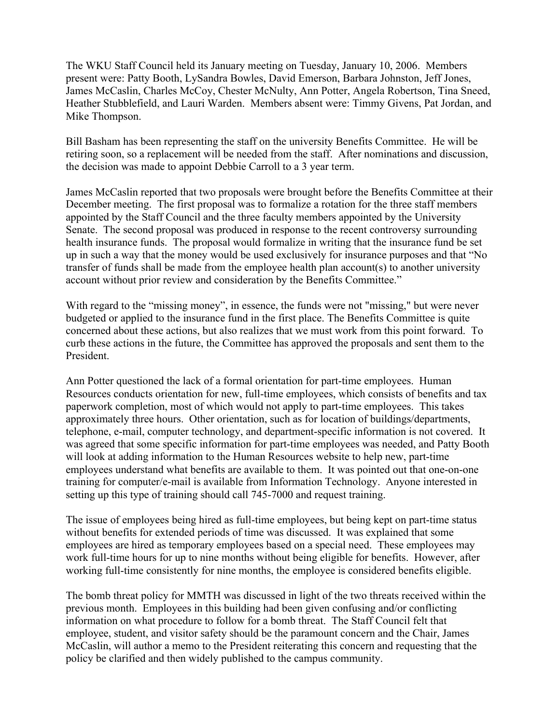The WKU Staff Council held its January meeting on Tuesday, January 10, 2006. Members present were: Patty Booth, LySandra Bowles, David Emerson, Barbara Johnston, Jeff Jones, James McCaslin, Charles McCoy, Chester McNulty, Ann Potter, Angela Robertson, Tina Sneed, Heather Stubblefield, and Lauri Warden. Members absent were: Timmy Givens, Pat Jordan, and Mike Thompson.

Bill Basham has been representing the staff on the university Benefits Committee. He will be retiring soon, so a replacement will be needed from the staff. After nominations and discussion, the decision was made to appoint Debbie Carroll to a 3 year term.

James McCaslin reported that two proposals were brought before the Benefits Committee at their December meeting. The first proposal was to formalize a rotation for the three staff members appointed by the Staff Council and the three faculty members appointed by the University Senate. The second proposal was produced in response to the recent controversy surrounding health insurance funds. The proposal would formalize in writing that the insurance fund be set up in such a way that the money would be used exclusively for insurance purposes and that "No transfer of funds shall be made from the employee health plan account(s) to another university account without prior review and consideration by the Benefits Committee."

With regard to the "missing money", in essence, the funds were not "missing," but were never budgeted or applied to the insurance fund in the first place. The Benefits Committee is quite concerned about these actions, but also realizes that we must work from this point forward. To curb these actions in the future, the Committee has approved the proposals and sent them to the President.

Ann Potter questioned the lack of a formal orientation for part-time employees. Human Resources conducts orientation for new, full-time employees, which consists of benefits and tax paperwork completion, most of which would not apply to part-time employees. This takes approximately three hours. Other orientation, such as for location of buildings/departments, telephone, e-mail, computer technology, and department-specific information is not covered. It was agreed that some specific information for part-time employees was needed, and Patty Booth will look at adding information to the Human Resources website to help new, part-time employees understand what benefits are available to them. It was pointed out that one-on-one training for computer/e-mail is available from Information Technology. Anyone interested in setting up this type of training should call 745-7000 and request training.

The issue of employees being hired as full-time employees, but being kept on part-time status without benefits for extended periods of time was discussed. It was explained that some employees are hired as temporary employees based on a special need. These employees may work full-time hours for up to nine months without being eligible for benefits. However, after working full-time consistently for nine months, the employee is considered benefits eligible.

The bomb threat policy for MMTH was discussed in light of the two threats received within the previous month. Employees in this building had been given confusing and/or conflicting information on what procedure to follow for a bomb threat. The Staff Council felt that employee, student, and visitor safety should be the paramount concern and the Chair, James McCaslin, will author a memo to the President reiterating this concern and requesting that the policy be clarified and then widely published to the campus community.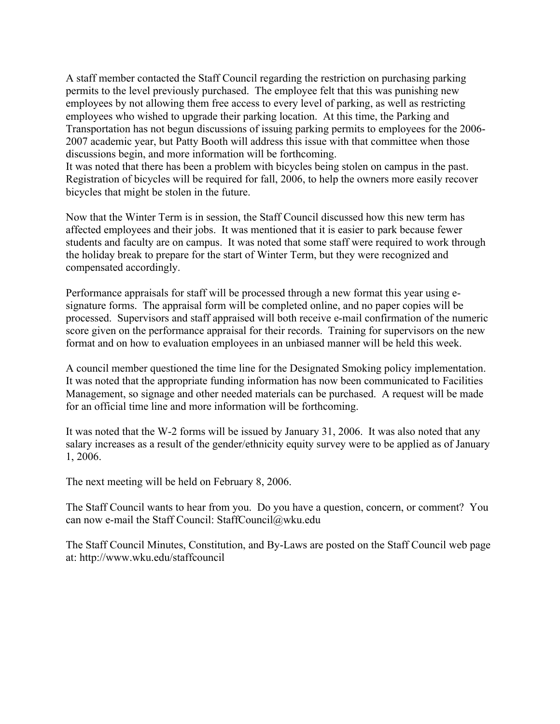A staff member contacted the Staff Council regarding the restriction on purchasing parking permits to the level previously purchased. The employee felt that this was punishing new employees by not allowing them free access to every level of parking, as well as restricting employees who wished to upgrade their parking location. At this time, the Parking and Transportation has not begun discussions of issuing parking permits to employees for the 2006- 2007 academic year, but Patty Booth will address this issue with that committee when those discussions begin, and more information will be forthcoming.

It was noted that there has been a problem with bicycles being stolen on campus in the past. Registration of bicycles will be required for fall, 2006, to help the owners more easily recover bicycles that might be stolen in the future.

Now that the Winter Term is in session, the Staff Council discussed how this new term has affected employees and their jobs. It was mentioned that it is easier to park because fewer students and faculty are on campus. It was noted that some staff were required to work through the holiday break to prepare for the start of Winter Term, but they were recognized and compensated accordingly.

Performance appraisals for staff will be processed through a new format this year using esignature forms. The appraisal form will be completed online, and no paper copies will be processed. Supervisors and staff appraised will both receive e-mail confirmation of the numeric score given on the performance appraisal for their records. Training for supervisors on the new format and on how to evaluation employees in an unbiased manner will be held this week.

A council member questioned the time line for the Designated Smoking policy implementation. It was noted that the appropriate funding information has now been communicated to Facilities Management, so signage and other needed materials can be purchased. A request will be made for an official time line and more information will be forthcoming.

It was noted that the W-2 forms will be issued by January 31, 2006. It was also noted that any salary increases as a result of the gender/ethnicity equity survey were to be applied as of January 1, 2006.

The next meeting will be held on February 8, 2006.

The Staff Council wants to hear from you. Do you have a question, concern, or comment? You can now e-mail the Staff Council: StaffCouncil@wku.edu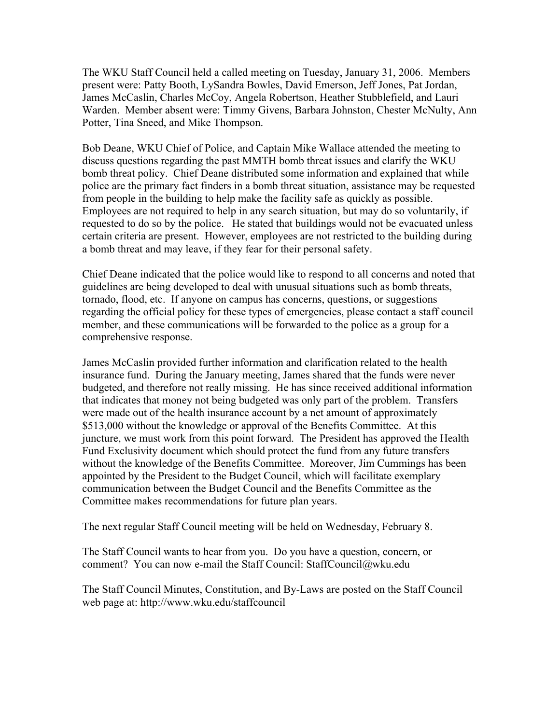The WKU Staff Council held a called meeting on Tuesday, January 31, 2006. Members present were: Patty Booth, LySandra Bowles, David Emerson, Jeff Jones, Pat Jordan, James McCaslin, Charles McCoy, Angela Robertson, Heather Stubblefield, and Lauri Warden. Member absent were: Timmy Givens, Barbara Johnston, Chester McNulty, Ann Potter, Tina Sneed, and Mike Thompson.

Bob Deane, WKU Chief of Police, and Captain Mike Wallace attended the meeting to discuss questions regarding the past MMTH bomb threat issues and clarify the WKU bomb threat policy. Chief Deane distributed some information and explained that while police are the primary fact finders in a bomb threat situation, assistance may be requested from people in the building to help make the facility safe as quickly as possible. Employees are not required to help in any search situation, but may do so voluntarily, if requested to do so by the police. He stated that buildings would not be evacuated unless certain criteria are present. However, employees are not restricted to the building during a bomb threat and may leave, if they fear for their personal safety.

Chief Deane indicated that the police would like to respond to all concerns and noted that guidelines are being developed to deal with unusual situations such as bomb threats, tornado, flood, etc. If anyone on campus has concerns, questions, or suggestions regarding the official policy for these types of emergencies, please contact a staff council member, and these communications will be forwarded to the police as a group for a comprehensive response.

James McCaslin provided further information and clarification related to the health insurance fund. During the January meeting, James shared that the funds were never budgeted, and therefore not really missing. He has since received additional information that indicates that money not being budgeted was only part of the problem. Transfers were made out of the health insurance account by a net amount of approximately \$513,000 without the knowledge or approval of the Benefits Committee. At this juncture, we must work from this point forward. The President has approved the Health Fund Exclusivity document which should protect the fund from any future transfers without the knowledge of the Benefits Committee. Moreover, Jim Cummings has been appointed by the President to the Budget Council, which will facilitate exemplary communication between the Budget Council and the Benefits Committee as the Committee makes recommendations for future plan years.

The next regular Staff Council meeting will be held on Wednesday, February 8.

The Staff Council wants to hear from you. Do you have a question, concern, or comment? You can now e-mail the Staff Council: StaffCouncil@wku.edu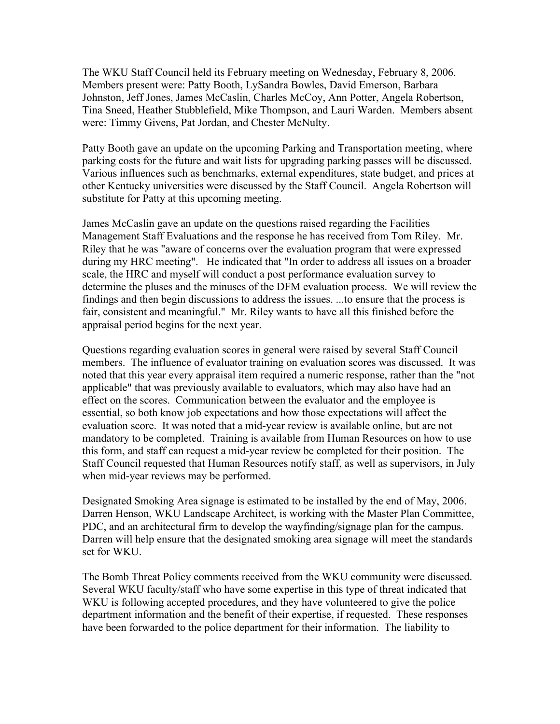The WKU Staff Council held its February meeting on Wednesday, February 8, 2006. Members present were: Patty Booth, LySandra Bowles, David Emerson, Barbara Johnston, Jeff Jones, James McCaslin, Charles McCoy, Ann Potter, Angela Robertson, Tina Sneed, Heather Stubblefield, Mike Thompson, and Lauri Warden. Members absent were: Timmy Givens, Pat Jordan, and Chester McNulty.

Patty Booth gave an update on the upcoming Parking and Transportation meeting, where parking costs for the future and wait lists for upgrading parking passes will be discussed. Various influences such as benchmarks, external expenditures, state budget, and prices at other Kentucky universities were discussed by the Staff Council. Angela Robertson will substitute for Patty at this upcoming meeting.

James McCaslin gave an update on the questions raised regarding the Facilities Management Staff Evaluations and the response he has received from Tom Riley. Mr. Riley that he was "aware of concerns over the evaluation program that were expressed during my HRC meeting". He indicated that "In order to address all issues on a broader scale, the HRC and myself will conduct a post performance evaluation survey to determine the pluses and the minuses of the DFM evaluation process. We will review the findings and then begin discussions to address the issues. ...to ensure that the process is fair, consistent and meaningful." Mr. Riley wants to have all this finished before the appraisal period begins for the next year.

Questions regarding evaluation scores in general were raised by several Staff Council members. The influence of evaluator training on evaluation scores was discussed. It was noted that this year every appraisal item required a numeric response, rather than the "not applicable" that was previously available to evaluators, which may also have had an effect on the scores. Communication between the evaluator and the employee is essential, so both know job expectations and how those expectations will affect the evaluation score. It was noted that a mid-year review is available online, but are not mandatory to be completed. Training is available from Human Resources on how to use this form, and staff can request a mid-year review be completed for their position. The Staff Council requested that Human Resources notify staff, as well as supervisors, in July when mid-year reviews may be performed.

Designated Smoking Area signage is estimated to be installed by the end of May, 2006. Darren Henson, WKU Landscape Architect, is working with the Master Plan Committee, PDC, and an architectural firm to develop the wayfinding/signage plan for the campus. Darren will help ensure that the designated smoking area signage will meet the standards set for WKU.

The Bomb Threat Policy comments received from the WKU community were discussed. Several WKU faculty/staff who have some expertise in this type of threat indicated that WKU is following accepted procedures, and they have volunteered to give the police department information and the benefit of their expertise, if requested. These responses have been forwarded to the police department for their information. The liability to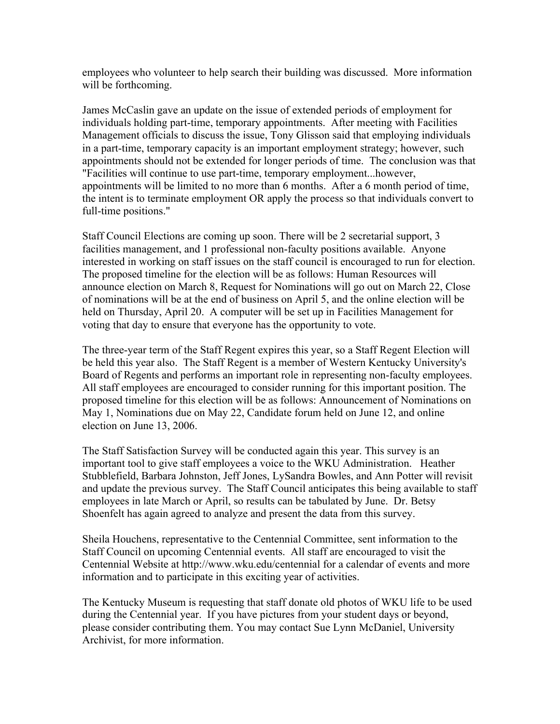employees who volunteer to help search their building was discussed. More information will be forthcoming.

James McCaslin gave an update on the issue of extended periods of employment for individuals holding part-time, temporary appointments. After meeting with Facilities Management officials to discuss the issue, Tony Glisson said that employing individuals in a part-time, temporary capacity is an important employment strategy; however, such appointments should not be extended for longer periods of time. The conclusion was that "Facilities will continue to use part-time, temporary employment...however, appointments will be limited to no more than 6 months. After a 6 month period of time, the intent is to terminate employment OR apply the process so that individuals convert to full-time positions."

Staff Council Elections are coming up soon. There will be 2 secretarial support, 3 facilities management, and 1 professional non-faculty positions available. Anyone interested in working on staff issues on the staff council is encouraged to run for election. The proposed timeline for the election will be as follows: Human Resources will announce election on March 8, Request for Nominations will go out on March 22, Close of nominations will be at the end of business on April 5, and the online election will be held on Thursday, April 20. A computer will be set up in Facilities Management for voting that day to ensure that everyone has the opportunity to vote.

The three-year term of the Staff Regent expires this year, so a Staff Regent Election will be held this year also. The Staff Regent is a member of Western Kentucky University's Board of Regents and performs an important role in representing non-faculty employees. All staff employees are encouraged to consider running for this important position. The proposed timeline for this election will be as follows: Announcement of Nominations on May 1, Nominations due on May 22, Candidate forum held on June 12, and online election on June 13, 2006.

The Staff Satisfaction Survey will be conducted again this year. This survey is an important tool to give staff employees a voice to the WKU Administration. Heather Stubblefield, Barbara Johnston, Jeff Jones, LySandra Bowles, and Ann Potter will revisit and update the previous survey. The Staff Council anticipates this being available to staff employees in late March or April, so results can be tabulated by June. Dr. Betsy Shoenfelt has again agreed to analyze and present the data from this survey.

Sheila Houchens, representative to the Centennial Committee, sent information to the Staff Council on upcoming Centennial events. All staff are encouraged to visit the Centennial Website at http://www.wku.edu/centennial for a calendar of events and more information and to participate in this exciting year of activities.

The Kentucky Museum is requesting that staff donate old photos of WKU life to be used during the Centennial year. If you have pictures from your student days or beyond, please consider contributing them. You may contact Sue Lynn McDaniel, University Archivist, for more information.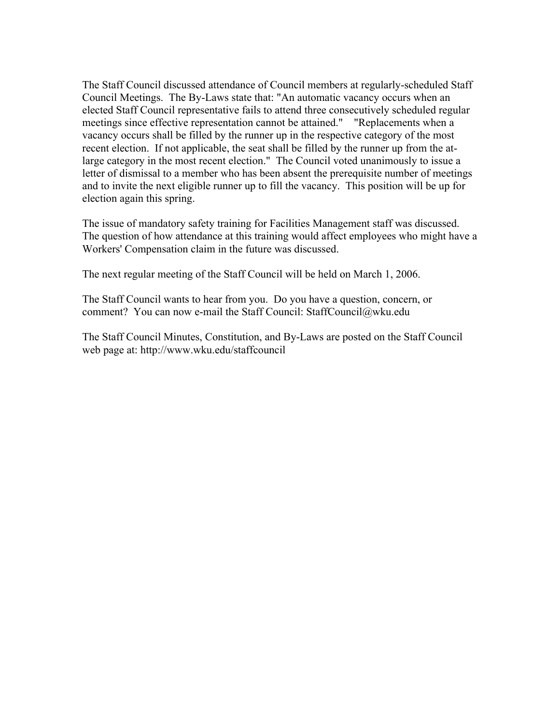The Staff Council discussed attendance of Council members at regularly-scheduled Staff Council Meetings. The By-Laws state that: "An automatic vacancy occurs when an elected Staff Council representative fails to attend three consecutively scheduled regular meetings since effective representation cannot be attained." "Replacements when a vacancy occurs shall be filled by the runner up in the respective category of the most recent election. If not applicable, the seat shall be filled by the runner up from the atlarge category in the most recent election." The Council voted unanimously to issue a letter of dismissal to a member who has been absent the prerequisite number of meetings and to invite the next eligible runner up to fill the vacancy. This position will be up for election again this spring.

The issue of mandatory safety training for Facilities Management staff was discussed. The question of how attendance at this training would affect employees who might have a Workers' Compensation claim in the future was discussed.

The next regular meeting of the Staff Council will be held on March 1, 2006.

The Staff Council wants to hear from you. Do you have a question, concern, or comment? You can now e-mail the Staff Council: StaffCouncil@wku.edu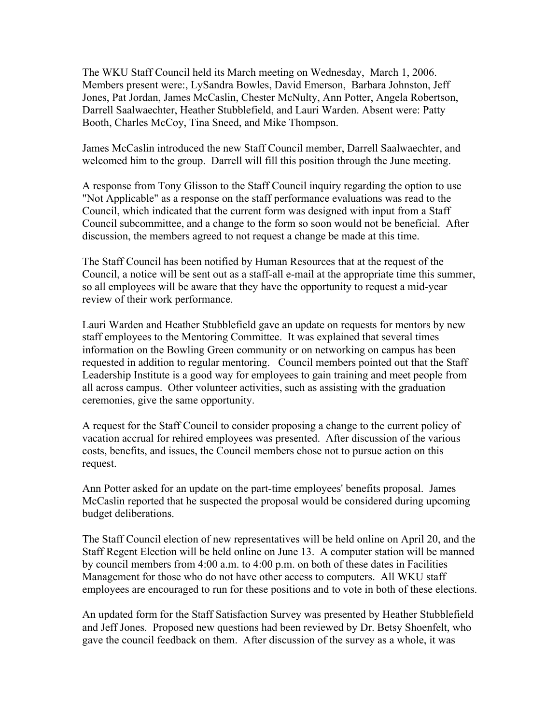The WKU Staff Council held its March meeting on Wednesday, March 1, 2006. Members present were:, LySandra Bowles, David Emerson, Barbara Johnston, Jeff Jones, Pat Jordan, James McCaslin, Chester McNulty, Ann Potter, Angela Robertson, Darrell Saalwaechter, Heather Stubblefield, and Lauri Warden. Absent were: Patty Booth, Charles McCoy, Tina Sneed, and Mike Thompson.

James McCaslin introduced the new Staff Council member, Darrell Saalwaechter, and welcomed him to the group. Darrell will fill this position through the June meeting.

A response from Tony Glisson to the Staff Council inquiry regarding the option to use "Not Applicable" as a response on the staff performance evaluations was read to the Council, which indicated that the current form was designed with input from a Staff Council subcommittee, and a change to the form so soon would not be beneficial. After discussion, the members agreed to not request a change be made at this time.

The Staff Council has been notified by Human Resources that at the request of the Council, a notice will be sent out as a staff-all e-mail at the appropriate time this summer, so all employees will be aware that they have the opportunity to request a mid-year review of their work performance.

Lauri Warden and Heather Stubblefield gave an update on requests for mentors by new staff employees to the Mentoring Committee. It was explained that several times information on the Bowling Green community or on networking on campus has been requested in addition to regular mentoring. Council members pointed out that the Staff Leadership Institute is a good way for employees to gain training and meet people from all across campus. Other volunteer activities, such as assisting with the graduation ceremonies, give the same opportunity.

A request for the Staff Council to consider proposing a change to the current policy of vacation accrual for rehired employees was presented. After discussion of the various costs, benefits, and issues, the Council members chose not to pursue action on this request.

Ann Potter asked for an update on the part-time employees' benefits proposal. James McCaslin reported that he suspected the proposal would be considered during upcoming budget deliberations.

The Staff Council election of new representatives will be held online on April 20, and the Staff Regent Election will be held online on June 13. A computer station will be manned by council members from 4:00 a.m. to 4:00 p.m. on both of these dates in Facilities Management for those who do not have other access to computers. All WKU staff employees are encouraged to run for these positions and to vote in both of these elections.

An updated form for the Staff Satisfaction Survey was presented by Heather Stubblefield and Jeff Jones. Proposed new questions had been reviewed by Dr. Betsy Shoenfelt, who gave the council feedback on them. After discussion of the survey as a whole, it was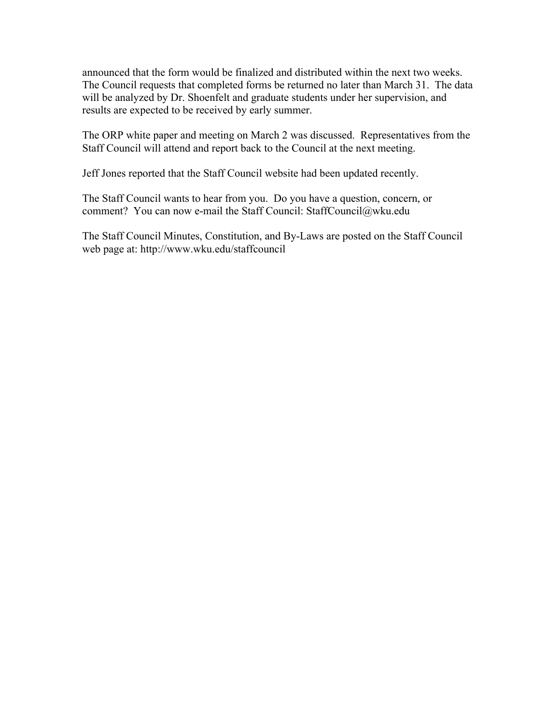announced that the form would be finalized and distributed within the next two weeks. The Council requests that completed forms be returned no later than March 31. The data will be analyzed by Dr. Shoenfelt and graduate students under her supervision, and results are expected to be received by early summer.

The ORP white paper and meeting on March 2 was discussed. Representatives from the Staff Council will attend and report back to the Council at the next meeting.

Jeff Jones reported that the Staff Council website had been updated recently.

The Staff Council wants to hear from you. Do you have a question, concern, or comment? You can now e-mail the Staff Council: StaffCouncil@wku.edu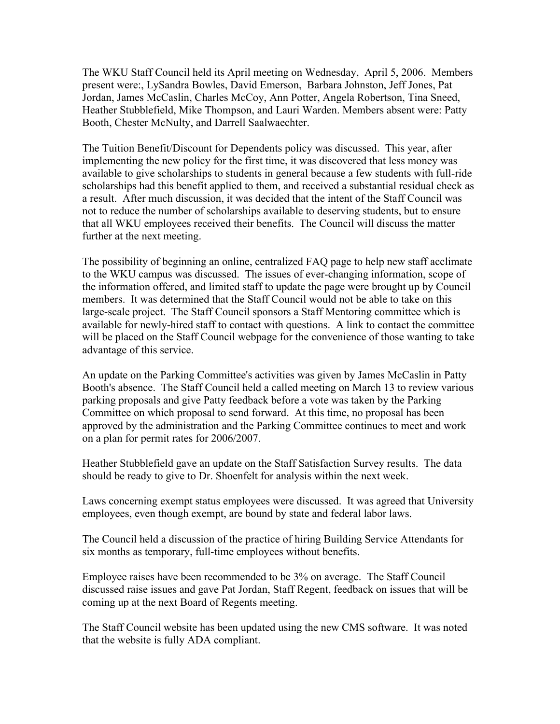The WKU Staff Council held its April meeting on Wednesday, April 5, 2006. Members present were:, LySandra Bowles, David Emerson, Barbara Johnston, Jeff Jones, Pat Jordan, James McCaslin, Charles McCoy, Ann Potter, Angela Robertson, Tina Sneed, Heather Stubblefield, Mike Thompson, and Lauri Warden. Members absent were: Patty Booth, Chester McNulty, and Darrell Saalwaechter.

The Tuition Benefit/Discount for Dependents policy was discussed. This year, after implementing the new policy for the first time, it was discovered that less money was available to give scholarships to students in general because a few students with full-ride scholarships had this benefit applied to them, and received a substantial residual check as a result. After much discussion, it was decided that the intent of the Staff Council was not to reduce the number of scholarships available to deserving students, but to ensure that all WKU employees received their benefits. The Council will discuss the matter further at the next meeting.

The possibility of beginning an online, centralized FAQ page to help new staff acclimate to the WKU campus was discussed. The issues of ever-changing information, scope of the information offered, and limited staff to update the page were brought up by Council members. It was determined that the Staff Council would not be able to take on this large-scale project. The Staff Council sponsors a Staff Mentoring committee which is available for newly-hired staff to contact with questions. A link to contact the committee will be placed on the Staff Council webpage for the convenience of those wanting to take advantage of this service.

An update on the Parking Committee's activities was given by James McCaslin in Patty Booth's absence. The Staff Council held a called meeting on March 13 to review various parking proposals and give Patty feedback before a vote was taken by the Parking Committee on which proposal to send forward. At this time, no proposal has been approved by the administration and the Parking Committee continues to meet and work on a plan for permit rates for 2006/2007.

Heather Stubblefield gave an update on the Staff Satisfaction Survey results. The data should be ready to give to Dr. Shoenfelt for analysis within the next week.

Laws concerning exempt status employees were discussed. It was agreed that University employees, even though exempt, are bound by state and federal labor laws.

The Council held a discussion of the practice of hiring Building Service Attendants for six months as temporary, full-time employees without benefits.

Employee raises have been recommended to be 3% on average. The Staff Council discussed raise issues and gave Pat Jordan, Staff Regent, feedback on issues that will be coming up at the next Board of Regents meeting.

The Staff Council website has been updated using the new CMS software. It was noted that the website is fully ADA compliant.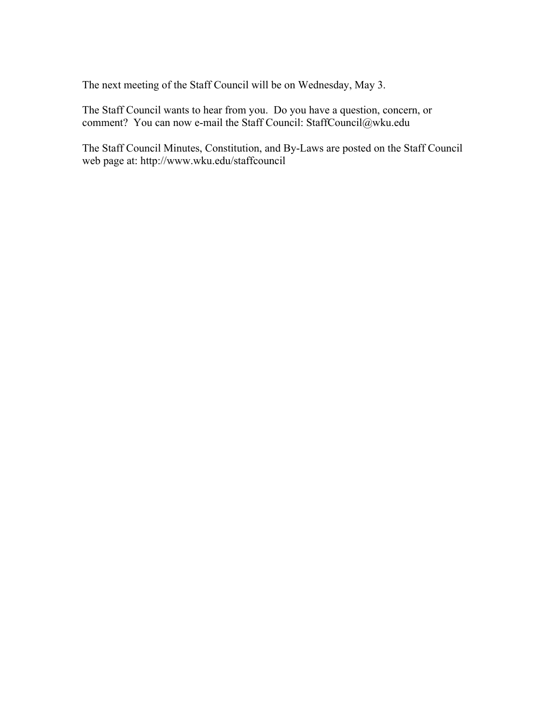The next meeting of the Staff Council will be on Wednesday, May 3.

The Staff Council wants to hear from you. Do you have a question, concern, or comment? You can now e-mail the Staff Council: StaffCouncil@wku.edu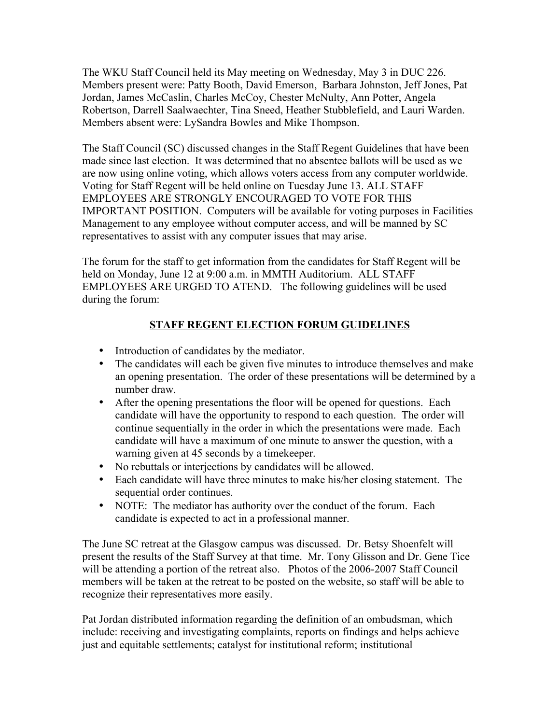The WKU Staff Council held its May meeting on Wednesday, May 3 in DUC 226. Members present were: Patty Booth, David Emerson, Barbara Johnston, Jeff Jones, Pat Jordan, James McCaslin, Charles McCoy, Chester McNulty, Ann Potter, Angela Robertson, Darrell Saalwaechter, Tina Sneed, Heather Stubblefield, and Lauri Warden. Members absent were: LySandra Bowles and Mike Thompson.

The Staff Council (SC) discussed changes in the Staff Regent Guidelines that have been made since last election. It was determined that no absentee ballots will be used as we are now using online voting, which allows voters access from any computer worldwide. Voting for Staff Regent will be held online on Tuesday June 13. ALL STAFF EMPLOYEES ARE STRONGLY ENCOURAGED TO VOTE FOR THIS IMPORTANT POSITION. Computers will be available for voting purposes in Facilities Management to any employee without computer access, and will be manned by SC representatives to assist with any computer issues that may arise.

The forum for the staff to get information from the candidates for Staff Regent will be held on Monday, June 12 at 9:00 a.m. in MMTH Auditorium. ALL STAFF EMPLOYEES ARE URGED TO ATEND. The following guidelines will be used during the forum:

## **STAFF REGENT ELECTION FORUM GUIDELINES**

- Introduction of candidates by the mediator.
- The candidates will each be given five minutes to introduce themselves and make an opening presentation. The order of these presentations will be determined by a number draw.
- After the opening presentations the floor will be opened for questions. Each candidate will have the opportunity to respond to each question. The order will continue sequentially in the order in which the presentations were made. Each candidate will have a maximum of one minute to answer the question, with a warning given at 45 seconds by a timekeeper.
- No rebuttals or interjections by candidates will be allowed.
- Each candidate will have three minutes to make his/her closing statement. The sequential order continues.
- NOTE: The mediator has authority over the conduct of the forum. Each candidate is expected to act in a professional manner.

The June SC retreat at the Glasgow campus was discussed. Dr. Betsy Shoenfelt will present the results of the Staff Survey at that time. Mr. Tony Glisson and Dr. Gene Tice will be attending a portion of the retreat also. Photos of the 2006-2007 Staff Council members will be taken at the retreat to be posted on the website, so staff will be able to recognize their representatives more easily.

Pat Jordan distributed information regarding the definition of an ombudsman, which include: receiving and investigating complaints, reports on findings and helps achieve just and equitable settlements; catalyst for institutional reform; institutional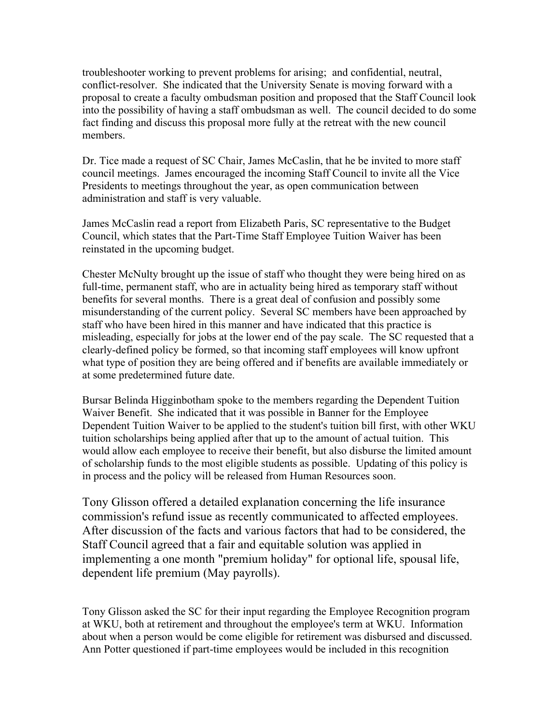troubleshooter working to prevent problems for arising; and confidential, neutral, conflict-resolver. She indicated that the University Senate is moving forward with a proposal to create a faculty ombudsman position and proposed that the Staff Council look into the possibility of having a staff ombudsman as well. The council decided to do some fact finding and discuss this proposal more fully at the retreat with the new council members.

Dr. Tice made a request of SC Chair, James McCaslin, that he be invited to more staff council meetings. James encouraged the incoming Staff Council to invite all the Vice Presidents to meetings throughout the year, as open communication between administration and staff is very valuable.

James McCaslin read a report from Elizabeth Paris, SC representative to the Budget Council, which states that the Part-Time Staff Employee Tuition Waiver has been reinstated in the upcoming budget.

Chester McNulty brought up the issue of staff who thought they were being hired on as full-time, permanent staff, who are in actuality being hired as temporary staff without benefits for several months. There is a great deal of confusion and possibly some misunderstanding of the current policy. Several SC members have been approached by staff who have been hired in this manner and have indicated that this practice is misleading, especially for jobs at the lower end of the pay scale. The SC requested that a clearly-defined policy be formed, so that incoming staff employees will know upfront what type of position they are being offered and if benefits are available immediately or at some predetermined future date.

Bursar Belinda Higginbotham spoke to the members regarding the Dependent Tuition Waiver Benefit. She indicated that it was possible in Banner for the Employee Dependent Tuition Waiver to be applied to the student's tuition bill first, with other WKU tuition scholarships being applied after that up to the amount of actual tuition. This would allow each employee to receive their benefit, but also disburse the limited amount of scholarship funds to the most eligible students as possible. Updating of this policy is in process and the policy will be released from Human Resources soon.

Tony Glisson offered a detailed explanation concerning the life insurance commission's refund issue as recently communicated to affected employees. After discussion of the facts and various factors that had to be considered, the Staff Council agreed that a fair and equitable solution was applied in implementing a one month "premium holiday" for optional life, spousal life, dependent life premium (May payrolls).

Tony Glisson asked the SC for their input regarding the Employee Recognition program at WKU, both at retirement and throughout the employee's term at WKU. Information about when a person would be come eligible for retirement was disbursed and discussed. Ann Potter questioned if part-time employees would be included in this recognition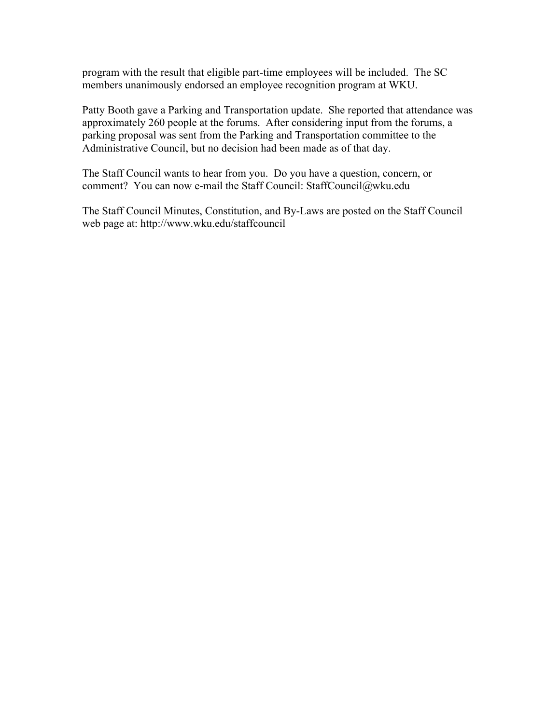program with the result that eligible part-time employees will be included. The SC members unanimously endorsed an employee recognition program at WKU.

Patty Booth gave a Parking and Transportation update. She reported that attendance was approximately 260 people at the forums. After considering input from the forums, a parking proposal was sent from the Parking and Transportation committee to the Administrative Council, but no decision had been made as of that day.

The Staff Council wants to hear from you. Do you have a question, concern, or comment? You can now e-mail the Staff Council: StaffCouncil@wku.edu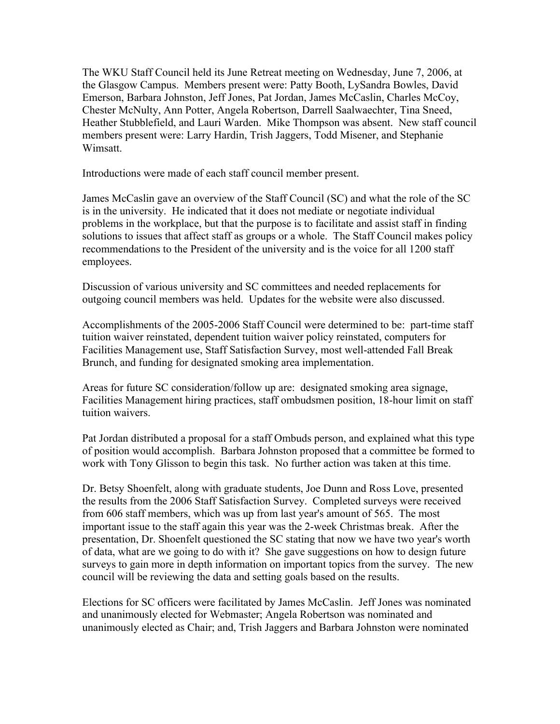The WKU Staff Council held its June Retreat meeting on Wednesday, June 7, 2006, at the Glasgow Campus. Members present were: Patty Booth, LySandra Bowles, David Emerson, Barbara Johnston, Jeff Jones, Pat Jordan, James McCaslin, Charles McCoy, Chester McNulty, Ann Potter, Angela Robertson, Darrell Saalwaechter, Tina Sneed, Heather Stubblefield, and Lauri Warden. Mike Thompson was absent. New staff council members present were: Larry Hardin, Trish Jaggers, Todd Misener, and Stephanie Wimsatt.

Introductions were made of each staff council member present.

James McCaslin gave an overview of the Staff Council (SC) and what the role of the SC is in the university. He indicated that it does not mediate or negotiate individual problems in the workplace, but that the purpose is to facilitate and assist staff in finding solutions to issues that affect staff as groups or a whole. The Staff Council makes policy recommendations to the President of the university and is the voice for all 1200 staff employees.

Discussion of various university and SC committees and needed replacements for outgoing council members was held. Updates for the website were also discussed.

Accomplishments of the 2005-2006 Staff Council were determined to be: part-time staff tuition waiver reinstated, dependent tuition waiver policy reinstated, computers for Facilities Management use, Staff Satisfaction Survey, most well-attended Fall Break Brunch, and funding for designated smoking area implementation.

Areas for future SC consideration/follow up are: designated smoking area signage, Facilities Management hiring practices, staff ombudsmen position, 18-hour limit on staff tuition waivers.

Pat Jordan distributed a proposal for a staff Ombuds person, and explained what this type of position would accomplish. Barbara Johnston proposed that a committee be formed to work with Tony Glisson to begin this task. No further action was taken at this time.

Dr. Betsy Shoenfelt, along with graduate students, Joe Dunn and Ross Love, presented the results from the 2006 Staff Satisfaction Survey. Completed surveys were received from 606 staff members, which was up from last year's amount of 565. The most important issue to the staff again this year was the 2-week Christmas break. After the presentation, Dr. Shoenfelt questioned the SC stating that now we have two year's worth of data, what are we going to do with it? She gave suggestions on how to design future surveys to gain more in depth information on important topics from the survey. The new council will be reviewing the data and setting goals based on the results.

Elections for SC officers were facilitated by James McCaslin. Jeff Jones was nominated and unanimously elected for Webmaster; Angela Robertson was nominated and unanimously elected as Chair; and, Trish Jaggers and Barbara Johnston were nominated